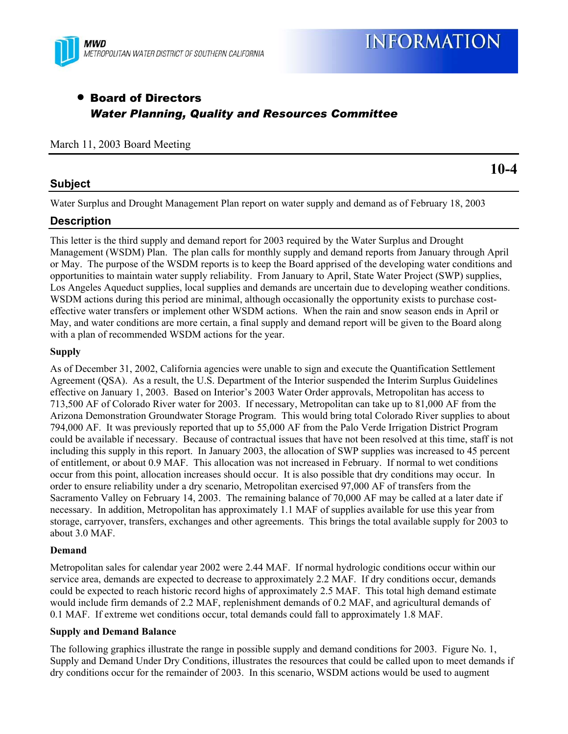

# **• Board of Directors** *Water Planning, Quality and Resources Committee*

#### March 11, 2003 Board Meeting

#### **Subject**

**10-4**

Water Surplus and Drought Management Plan report on water supply and demand as of February 18, 2003

## **Description**

This letter is the third supply and demand report for 2003 required by the Water Surplus and Drought Management (WSDM) Plan. The plan calls for monthly supply and demand reports from January through April or May. The purpose of the WSDM reports is to keep the Board apprised of the developing water conditions and opportunities to maintain water supply reliability. From January to April, State Water Project (SWP) supplies, Los Angeles Aqueduct supplies, local supplies and demands are uncertain due to developing weather conditions. WSDM actions during this period are minimal, although occasionally the opportunity exists to purchase costeffective water transfers or implement other WSDM actions. When the rain and snow season ends in April or May, and water conditions are more certain, a final supply and demand report will be given to the Board along with a plan of recommended WSDM actions for the year.

#### **Supply**

As of December 31, 2002, California agencies were unable to sign and execute the Quantification Settlement Agreement (QSA). As a result, the U.S. Department of the Interior suspended the Interim Surplus Guidelines effective on January 1, 2003. Based on Interior's 2003 Water Order approvals, Metropolitan has access to 713,500 AF of Colorado River water for 2003. If necessary, Metropolitan can take up to 81,000 AF from the Arizona Demonstration Groundwater Storage Program. This would bring total Colorado River supplies to about 794,000 AF. It was previously reported that up to 55,000 AF from the Palo Verde Irrigation District Program could be available if necessary. Because of contractual issues that have not been resolved at this time, staff is not including this supply in this report. In January 2003, the allocation of SWP supplies was increased to 45 percent of entitlement, or about 0.9 MAF. This allocation was not increased in February. If normal to wet conditions occur from this point, allocation increases should occur. It is also possible that dry conditions may occur. In order to ensure reliability under a dry scenario, Metropolitan exercised 97,000 AF of transfers from the Sacramento Valley on February 14, 2003. The remaining balance of 70,000 AF may be called at a later date if necessary. In addition, Metropolitan has approximately 1.1 MAF of supplies available for use this year from storage, carryover, transfers, exchanges and other agreements. This brings the total available supply for 2003 to about 3.0 MAF.

#### **Demand**

Metropolitan sales for calendar year 2002 were 2.44 MAF. If normal hydrologic conditions occur within our service area, demands are expected to decrease to approximately 2.2 MAF. If dry conditions occur, demands could be expected to reach historic record highs of approximately 2.5 MAF. This total high demand estimate would include firm demands of 2.2 MAF, replenishment demands of 0.2 MAF, and agricultural demands of 0.1 MAF. If extreme wet conditions occur, total demands could fall to approximately 1.8 MAF.

#### **Supply and Demand Balance**

The following graphics illustrate the range in possible supply and demand conditions for 2003. Figure No. 1, Supply and Demand Under Dry Conditions, illustrates the resources that could be called upon to meet demands if dry conditions occur for the remainder of 2003. In this scenario, WSDM actions would be used to augment